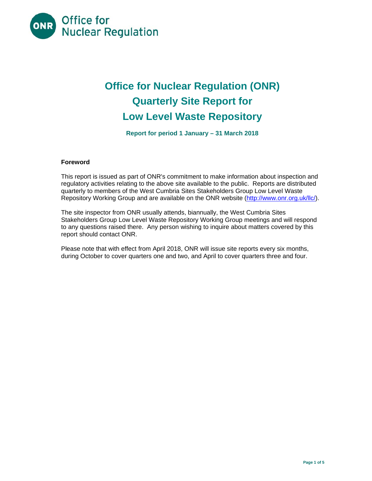

# **Office for Nuclear Regulation (ONR) Quarterly Site Report for Low Level Waste Repository**

**Report for period 1 January – 31 March 2018** 

## **Foreword**

This report is issued as part of ONR's commitment to make information about inspection and regulatory activities relating to the above site available to the public. Reports are distributed quarterly to members of the West Cumbria Sites Stakeholders Group Low Level Waste Repository Working Group and are available on the ONR website (http://www.onr.org.uk/llc/).

The site inspector from ONR usually attends, biannually, the West Cumbria Sites Stakeholders Group Low Level Waste Repository Working Group meetings and will respond to any questions raised there. Any person wishing to inquire about matters covered by this report should contact ONR.

Please note that with effect from April 2018, ONR will issue site reports every six months, during October to cover quarters one and two, and April to cover quarters three and four.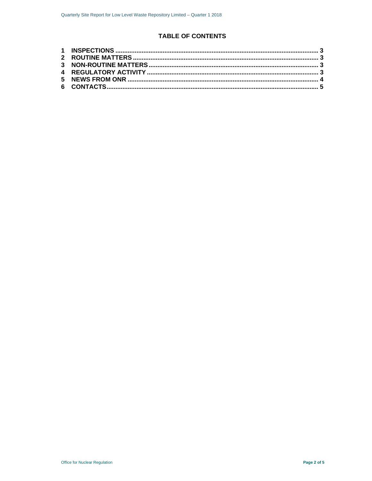# **TABLE OF CONTENTS**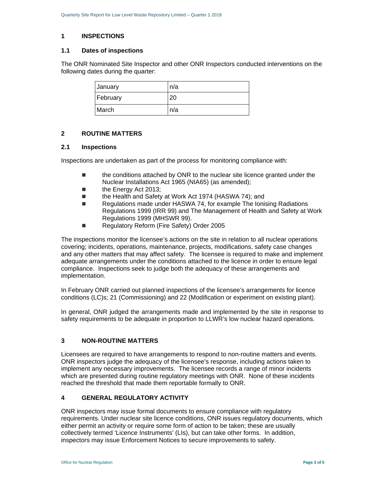#### **1 INSPECTIONS**

#### **1.1 Dates of inspections**

The ONR Nominated Site Inspector and other ONR Inspectors conducted interventions on the following dates during the quarter:

| January  | n/a  |
|----------|------|
| February | 20   |
| March    | In/a |

# **2 ROUTINE MATTERS**

#### **2.1 Inspections**

Inspections are undertaken as part of the process for monitoring compliance with:

- the conditions attached by ONR to the nuclear site licence granted under the Nuclear Installations Act 1965 (NIA65) (as amended);
- **the Energy Act 2013;**
- the Health and Safety at Work Act 1974 (HASWA 74); and
- Regulations made under HASWA 74, for example The Ionising Radiations Regulations 1999 (IRR 99) and The Management of Health and Safety at Work Regulations 1999 (MHSWR 99).
- Regulatory Reform (Fire Safety) Order 2005

The inspections monitor the licensee's actions on the site in relation to all nuclear operations covering; incidents, operations, maintenance, projects, modifications, safety case changes and any other matters that may affect safety. The licensee is required to make and implement adequate arrangements under the conditions attached to the licence in order to ensure legal compliance. Inspections seek to judge both the adequacy of these arrangements and implementation.

In February ONR carried out planned inspections of the licensee's arrangements for licence conditions (LC)s; 21 (Commissioning) and 22 (Modification or experiment on existing plant).

In general, ONR judged the arrangements made and implemented by the site in response to safety requirements to be adequate in proportion to LLWR's low nuclear hazard operations.

## **3 NON-ROUTINE MATTERS**

Licensees are required to have arrangements to respond to non-routine matters and events. ONR inspectors judge the adequacy of the licensee's response, including actions taken to implement any necessary improvements. The licensee records a range of minor incidents which are presented during routine regulatory meetings with ONR. None of these incidents reached the threshold that made them reportable formally to ONR.

# **4 GENERAL REGULATORY ACTIVITY**

ONR inspectors may issue formal documents to ensure compliance with regulatory requirements. Under nuclear site licence conditions, ONR issues regulatory documents, which either permit an activity or require some form of action to be taken; these are usually collectively termed 'Licence Instruments' (LIs), but can take other forms. In addition, inspectors may issue Enforcement Notices to secure improvements to safety.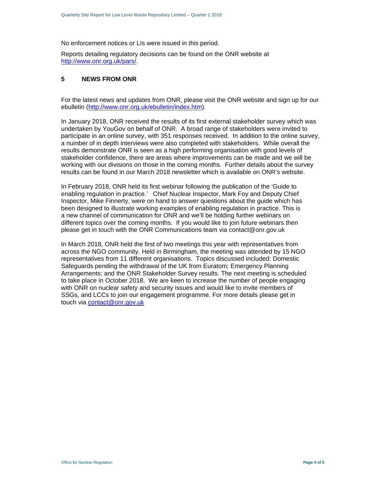No enforcement notices or LIs were issued in this period.

Reports detailing regulatory decisions can be found on the ONR website at http://www.onr.org.uk/pars/.

#### **5 NEWS FROM ONR**

For the latest news and updates from ONR, please visit the ONR website and sign up for our ebulletin (http://www.onr.org.uk/ebulletin/index.htm).

In January 2018, ONR received the results of its first external stakeholder survey which was undertaken by YouGov on behalf of ONR. A broad range of stakeholders were invited to participate in an online survey, with 351 responses received. In addition to the online survey, a number of in depth interviews were also completed with stakeholders. While overall the results demonstrate ONR is seen as a high performing organisation with good levels of stakeholder confidence, there are areas where improvements can be made and we will be working with our divisions on those in the coming months. Further details about the survey results can be found in our March 2018 newsletter which is available on ONR's website.

In February 2018, ONR held its first webinar following the publication of the 'Guide to enabling regulation in practice.' Chief Nuclear Inspector, Mark Foy and Deputy Chief Inspector, Mike Finnerty, were on hand to answer questions about the guide which has been designed to illustrate working examples of enabling regulation in practice. This is a new channel of communication for ONR and we'll be holding further webinars on different topics over the coming months. If you would like to join future webinars then please get in touch with the ONR Communications team via contact@onr.gov.uk

In March 2018, ONR held the first of two meetings this year with representatives from across the NGO community. Held in Birmingham, the meeting was attended by 15 NGO representatives from 11 different organisations. Topics discussed included: Domestic Safeguards pending the withdrawal of the UK from Euratom; Emergency Planning Arrangements; and the ONR Stakeholder Survey results. The next meeting is scheduled to take place in October 2018. We are keen to increase the number of people engaging with ONR on nuclear safety and security issues and would like to invite members of SSGs, and LCCs to join our engagement programme. For more details please get in touch via contact@onr.gov.uk